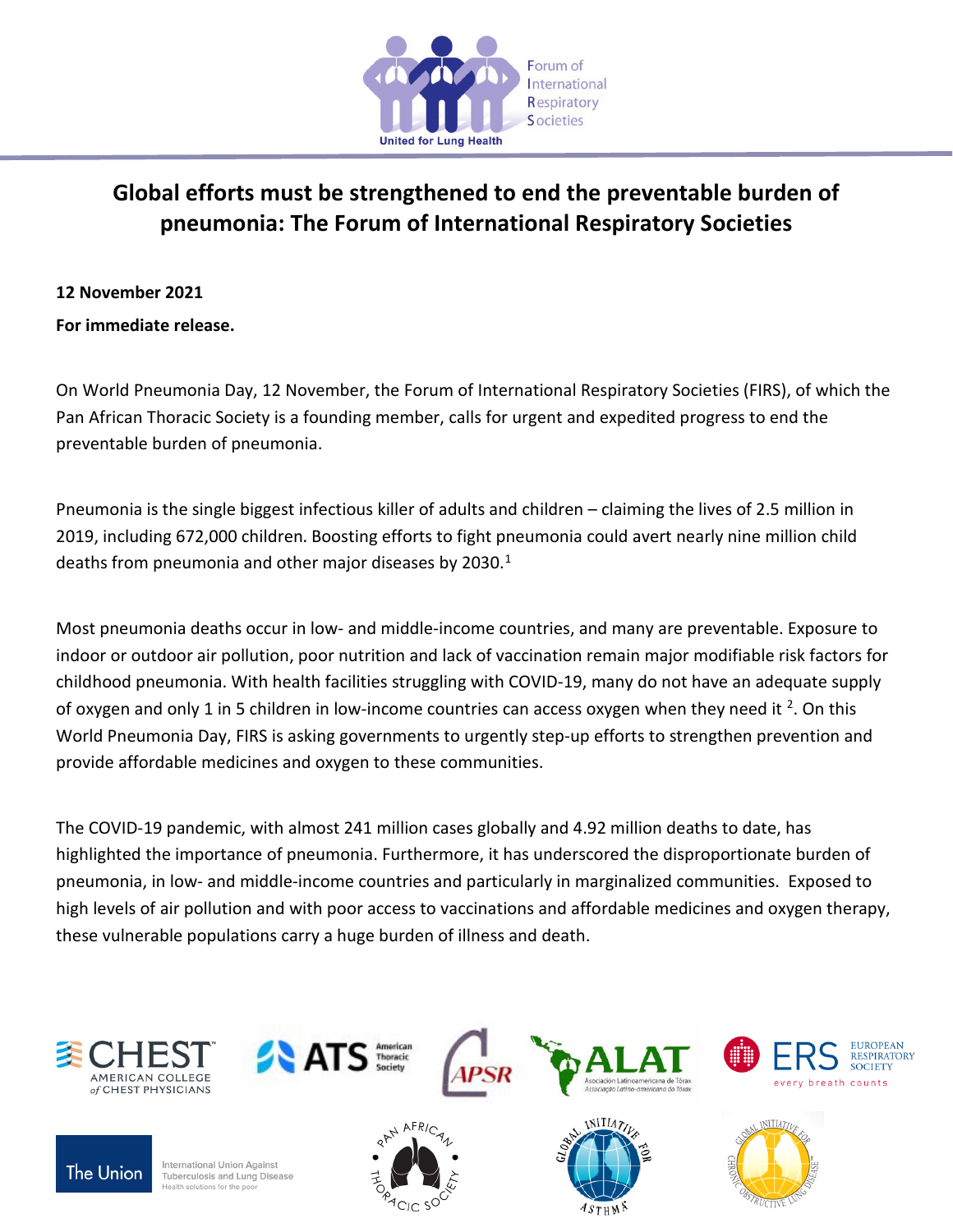

# **Global efforts must be strengthened to end the preventable burden of pneumonia: The Forum of International Respiratory Societies**

# **12 November 2021**

**For immediate release.**

On World Pneumonia Day, 12 November, the Forum of International Respiratory Societies (FIRS), of which the Pan African Thoracic Society is a founding member, calls for urgent and expedited progress to end the preventable burden of pneumonia.

Pneumonia is the single biggest infectious killer of adults and children – claiming the lives of 2.5 million in 2019, including 672,000 children. Boosting efforts to fight pneumonia could avert nearly nine million child deaths from pneumonia and other major diseases by 2030. $1$ 

Most pneumonia deaths occur in low- and middle-income countries, and many are preventable. Exposure to indoor or outdoor air pollution, poor nutrition and lack of vaccination remain major modifiable risk factors for childhood pneumonia. With health facilities struggling with COVID-19, many do not have an adequate supply of oxygen and only 1 in 5 children in low-income countries can access oxygen when they need it  $^2$ . On this World Pneumonia Day, FIRS is asking governments to urgently step-up efforts to strengthen prevention and provide affordable medicines and oxygen to these communities.

The COVID-19 pandemic, with almost 241 million cases globally and 4.92 million deaths to date, has highlighted the importance of pneumonia. Furthermore, it has underscored the disproportionate burden of pneumonia, in low- and middle-income countries and particularly in marginalized communities. Exposed to high levels of air pollution and with poor access to vaccinations and affordable medicines and oxygen therapy, these vulnerable populations carry a huge burden of illness and death.

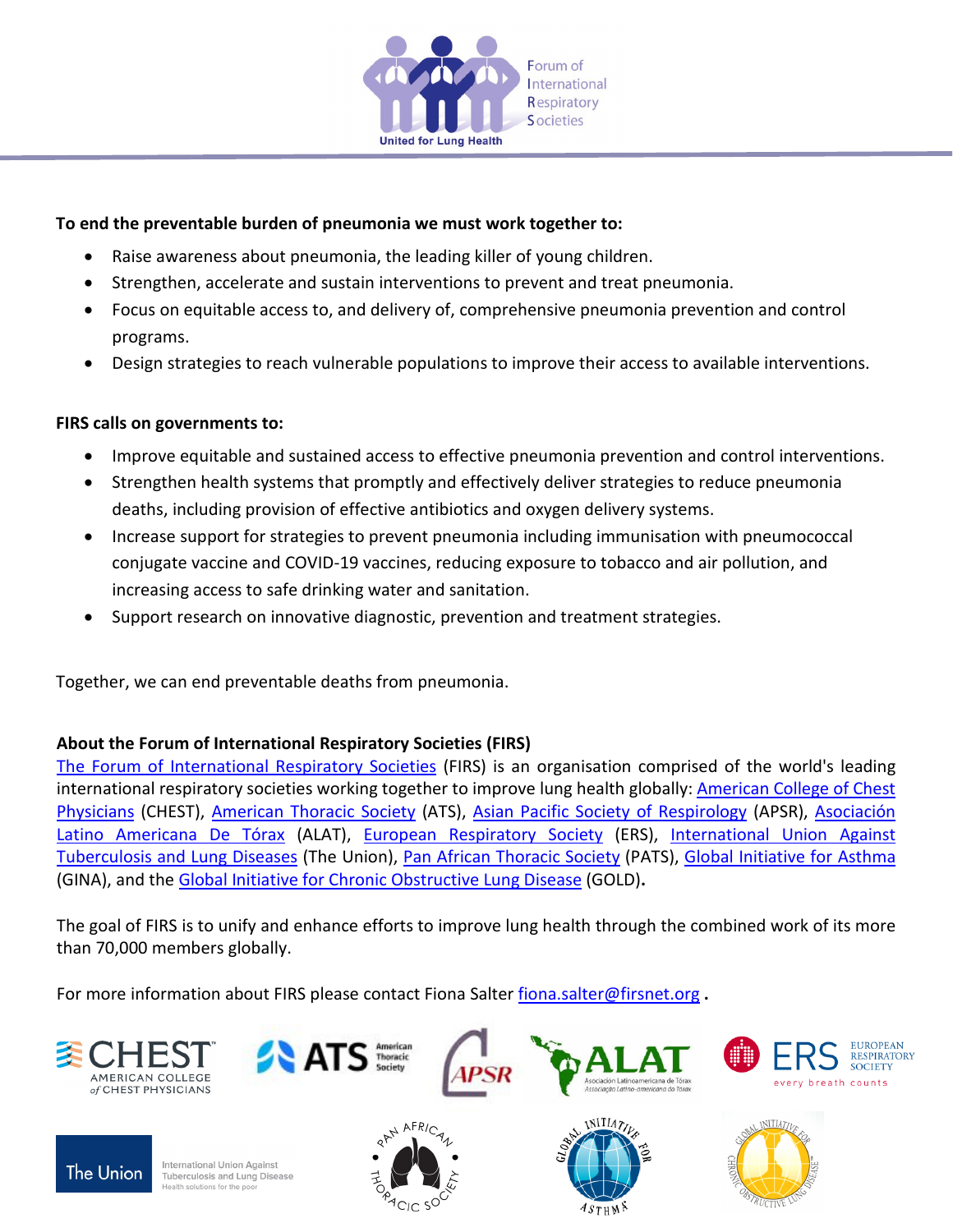

#### **To end the preventable burden of pneumonia we must work together to:**

- Raise awareness about pneumonia, the leading killer of young children.
- Strengthen, accelerate and sustain interventions to prevent and treat pneumonia.
- Focus on equitable access to, and delivery of, comprehensive pneumonia prevention and control programs.
- Design strategies to reach vulnerable populations to improve their access to available interventions.

## **FIRS calls on governments to:**

- Improve equitable and sustained access to effective pneumonia prevention and control interventions.
- Strengthen health systems that promptly and effectively deliver strategies to reduce pneumonia deaths, including provision of effective antibiotics and oxygen delivery systems.
- Increase support for strategies to prevent pneumonia including immunisation with pneumococcal conjugate vaccine and COVID-19 vaccines, reducing exposure to tobacco and air pollution, and increasing access to safe drinking water and sanitation.
- Support research on innovative diagnostic, prevention and treatment strategies.

Together, we can end preventable deaths from pneumonia.

## **About the Forum of International Respiratory Societies (FIRS)**

[The Forum of International Respiratory Societies](http://www.firsnet.org/) (FIRS) is an organisation comprised of the world's leading international respiratory societies working together to improve lung health globally: [American College of Chest](http://www.chestnet.org/)  [Physicians](http://www.chestnet.org/) (CHEST), [American Thoracic Society](http://www.thoracic.org/) (ATS), [Asian Pacific Society of Respirology](http://www.apsresp.org/) (APSR), [Asociación](https://alatorax.org/es)  [Latino Americana De Tórax](https://alatorax.org/es) (ALAT), [European Respiratory Society](https://www.ersnet.org/) (ERS), [International Union Against](https://www.theunion.org/)  [Tuberculosis and Lung Diseases](https://www.theunion.org/) (The Union), [Pan African Thoracic Society](http://panafricanthoracic.org/) (PATS), [Global Initiative for Asthma](https://ginasthma.org/) (GINA), and th[e Global Initiative for Chronic Obstructive Lung Disease](https://goldcopd.org/) (GOLD)**.** 

The goal of FIRS is to unify and enhance efforts to improve lung health through the combined work of its more than 70,000 members globally.

For more information about FIRS please contact Fiona Salter [fiona.salter@firsnet.org](mailto:fiona.salter@firsnet.org) **.**